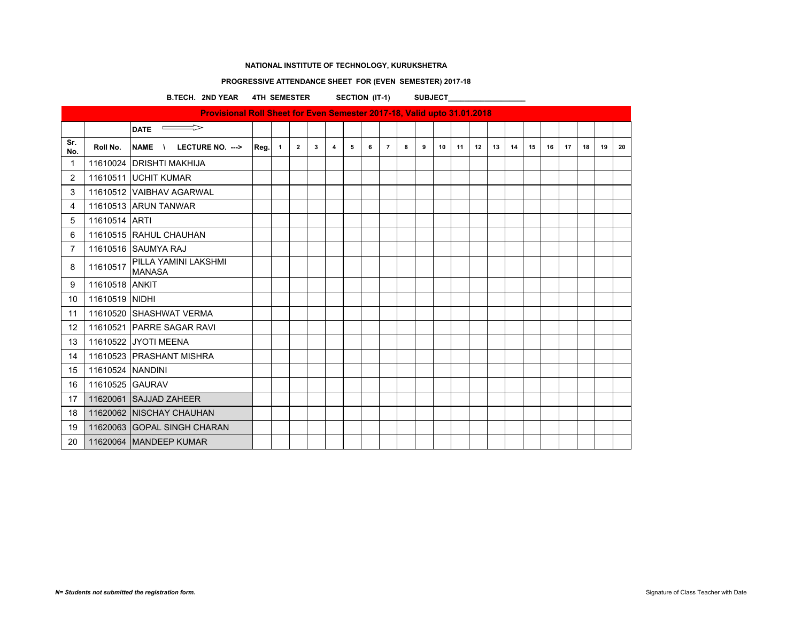### **PROGRESSIVE ATTENDANCE SHEET FOR (EVEN SEMESTER) 2017-18**

**B.TECH. 2ND YEAR 4TH SEMESTER SECTION (IT-1) SUBJECT\_\_\_\_\_\_\_\_\_\_\_\_\_\_\_\_\_\_\_**

|                   | Provisional Roll Sheet for Even Semester 2017-18, Valid upto 31.01.2018 |                                               |        |  |                |   |   |   |   |                |   |   |    |    |    |    |    |    |    |    |    |    |    |
|-------------------|-------------------------------------------------------------------------|-----------------------------------------------|--------|--|----------------|---|---|---|---|----------------|---|---|----|----|----|----|----|----|----|----|----|----|----|
|                   |                                                                         | $\overline{\phantom{0}}$ DATE                 |        |  |                |   |   |   |   |                |   |   |    |    |    |    |    |    |    |    |    |    |    |
| Sr.<br>No.        | Roll No.                                                                | <b>NAME</b><br>LECTURE NO. ---><br>$\sqrt{ }$ | Real 1 |  | $\overline{2}$ | 3 | 4 | 5 | 6 | $\overline{7}$ | 8 | 9 | 10 | 11 | 12 | 13 | 14 | 15 | 16 | 17 | 18 | 19 | 20 |
| $\mathbf 1$       |                                                                         | 11610024 DRISHTI MAKHIJA                      |        |  |                |   |   |   |   |                |   |   |    |    |    |    |    |    |    |    |    |    |    |
| $\overline{2}$    |                                                                         | 11610511 UCHIT KUMAR                          |        |  |                |   |   |   |   |                |   |   |    |    |    |    |    |    |    |    |    |    |    |
| 3                 |                                                                         | 11610512 VAIBHAV AGARWAL                      |        |  |                |   |   |   |   |                |   |   |    |    |    |    |    |    |    |    |    |    |    |
| 4                 |                                                                         | 11610513 ARUN TANWAR                          |        |  |                |   |   |   |   |                |   |   |    |    |    |    |    |    |    |    |    |    |    |
| 5                 | 11610514 ARTI                                                           |                                               |        |  |                |   |   |   |   |                |   |   |    |    |    |    |    |    |    |    |    |    |    |
| 6                 |                                                                         | 11610515 RAHUL CHAUHAN                        |        |  |                |   |   |   |   |                |   |   |    |    |    |    |    |    |    |    |    |    |    |
| $\overline{7}$    |                                                                         | 11610516 SAUMYA RAJ                           |        |  |                |   |   |   |   |                |   |   |    |    |    |    |    |    |    |    |    |    |    |
| 8                 | 11610517                                                                | <b>PILLA YAMINI LAKSHMI</b><br><b>MANASA</b>  |        |  |                |   |   |   |   |                |   |   |    |    |    |    |    |    |    |    |    |    |    |
| 9                 | 11610518 ANKIT                                                          |                                               |        |  |                |   |   |   |   |                |   |   |    |    |    |    |    |    |    |    |    |    |    |
| 10                | 11610519 NIDHI                                                          |                                               |        |  |                |   |   |   |   |                |   |   |    |    |    |    |    |    |    |    |    |    |    |
| 11                |                                                                         | 11610520 SHASHWAT VERMA                       |        |  |                |   |   |   |   |                |   |   |    |    |    |    |    |    |    |    |    |    |    |
| $12 \overline{ }$ |                                                                         | 11610521 PARRE SAGAR RAVI                     |        |  |                |   |   |   |   |                |   |   |    |    |    |    |    |    |    |    |    |    |    |
| 13                |                                                                         | 11610522 JYOTI MEENA                          |        |  |                |   |   |   |   |                |   |   |    |    |    |    |    |    |    |    |    |    |    |
| 14                |                                                                         | 11610523 PRASHANT MISHRA                      |        |  |                |   |   |   |   |                |   |   |    |    |    |    |    |    |    |    |    |    |    |
| 15                | 11610524 NANDINI                                                        |                                               |        |  |                |   |   |   |   |                |   |   |    |    |    |    |    |    |    |    |    |    |    |
| 16                | 11610525 GAURAV                                                         |                                               |        |  |                |   |   |   |   |                |   |   |    |    |    |    |    |    |    |    |    |    |    |
| 17                |                                                                         | 11620061 SAJJAD ZAHEER                        |        |  |                |   |   |   |   |                |   |   |    |    |    |    |    |    |    |    |    |    |    |
| 18                |                                                                         | 11620062 NISCHAY CHAUHAN                      |        |  |                |   |   |   |   |                |   |   |    |    |    |    |    |    |    |    |    |    |    |
| 19                |                                                                         | 11620063 GOPAL SINGH CHARAN                   |        |  |                |   |   |   |   |                |   |   |    |    |    |    |    |    |    |    |    |    |    |
| 20                |                                                                         | 11620064 MANDEEP KUMAR                        |        |  |                |   |   |   |   |                |   |   |    |    |    |    |    |    |    |    |    |    |    |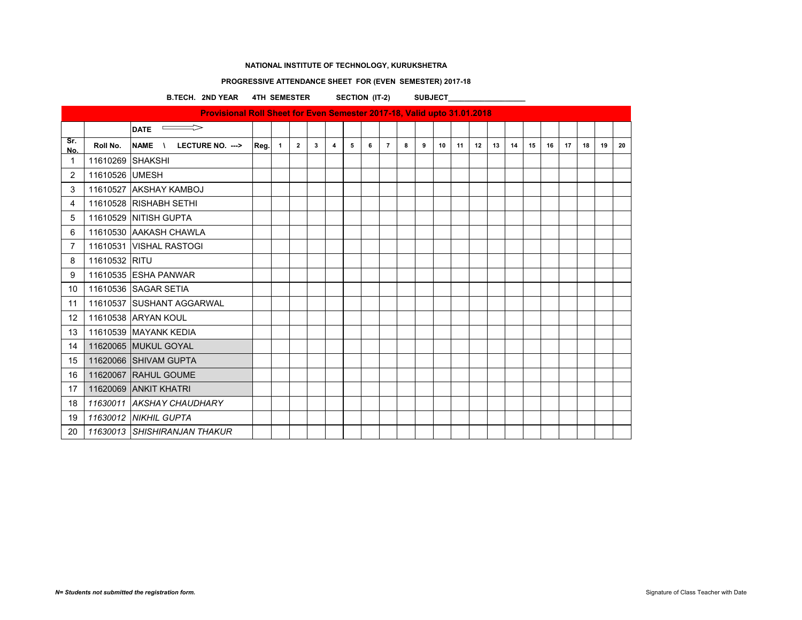### **PROGRESSIVE ATTENDANCE SHEET FOR (EVEN SEMESTER) 2017-18**

B.TECH. 2ND YEAR 4TH SEMESTER SECTION (IT-2) SUBJECT\_\_\_\_\_\_\_\_\_\_\_\_\_\_\_\_

|                | Provisional Roll Sheet for Even Semester 2017-18, Valid upto 31.01.2018 |                                               |      |                |                |   |   |   |   |                |   |   |    |    |    |    |    |    |    |    |    |    |    |
|----------------|-------------------------------------------------------------------------|-----------------------------------------------|------|----------------|----------------|---|---|---|---|----------------|---|---|----|----|----|----|----|----|----|----|----|----|----|
|                |                                                                         | $\sim$<br><b>DATE</b>                         |      |                |                |   |   |   |   |                |   |   |    |    |    |    |    |    |    |    |    |    |    |
| Sr.<br>No.     | Roll No.                                                                | <b>NAME</b><br>LECTURE NO. ---><br>$\sqrt{ }$ | Reg. | $\overline{1}$ | $\overline{2}$ | 3 | 4 | 5 | 6 | $\overline{7}$ | 8 | 9 | 10 | 11 | 12 | 13 | 14 | 15 | 16 | 17 | 18 | 19 | 20 |
| $\mathbf{1}$   | 11610269 SHAKSHI                                                        |                                               |      |                |                |   |   |   |   |                |   |   |    |    |    |    |    |    |    |    |    |    |    |
| $\overline{2}$ | 11610526 UMESH                                                          |                                               |      |                |                |   |   |   |   |                |   |   |    |    |    |    |    |    |    |    |    |    |    |
| 3              |                                                                         | 11610527 AKSHAY KAMBOJ                        |      |                |                |   |   |   |   |                |   |   |    |    |    |    |    |    |    |    |    |    |    |
| 4              |                                                                         | 11610528 RISHABH SETHI                        |      |                |                |   |   |   |   |                |   |   |    |    |    |    |    |    |    |    |    |    |    |
| 5              |                                                                         | 11610529 NITISH GUPTA                         |      |                |                |   |   |   |   |                |   |   |    |    |    |    |    |    |    |    |    |    |    |
| 6              |                                                                         | 11610530 AAKASH CHAWLA                        |      |                |                |   |   |   |   |                |   |   |    |    |    |    |    |    |    |    |    |    |    |
| $\overline{7}$ |                                                                         | 11610531 VISHAL RASTOGI                       |      |                |                |   |   |   |   |                |   |   |    |    |    |    |    |    |    |    |    |    |    |
| 8              | 11610532 RITU                                                           |                                               |      |                |                |   |   |   |   |                |   |   |    |    |    |    |    |    |    |    |    |    |    |
| 9              |                                                                         | 11610535 ESHA PANWAR                          |      |                |                |   |   |   |   |                |   |   |    |    |    |    |    |    |    |    |    |    |    |
| 10             |                                                                         | 11610536 SAGAR SETIA                          |      |                |                |   |   |   |   |                |   |   |    |    |    |    |    |    |    |    |    |    |    |
| 11             |                                                                         | 11610537 SUSHANT AGGARWAL                     |      |                |                |   |   |   |   |                |   |   |    |    |    |    |    |    |    |    |    |    |    |
| 12             |                                                                         | 11610538 ARYAN KOUL                           |      |                |                |   |   |   |   |                |   |   |    |    |    |    |    |    |    |    |    |    |    |
| 13             |                                                                         | 11610539 MAYANK KEDIA                         |      |                |                |   |   |   |   |                |   |   |    |    |    |    |    |    |    |    |    |    |    |
| 14             |                                                                         | 11620065 MUKUL GOYAL                          |      |                |                |   |   |   |   |                |   |   |    |    |    |    |    |    |    |    |    |    |    |
| 15             |                                                                         | 11620066 SHIVAM GUPTA                         |      |                |                |   |   |   |   |                |   |   |    |    |    |    |    |    |    |    |    |    |    |
| 16             |                                                                         | 11620067 RAHUL GOUME                          |      |                |                |   |   |   |   |                |   |   |    |    |    |    |    |    |    |    |    |    |    |
| 17             |                                                                         | 11620069 ANKIT KHATRI                         |      |                |                |   |   |   |   |                |   |   |    |    |    |    |    |    |    |    |    |    |    |
| 18             |                                                                         | 11630011 AKSHAY CHAUDHARY                     |      |                |                |   |   |   |   |                |   |   |    |    |    |    |    |    |    |    |    |    |    |
| 19             |                                                                         | 11630012 NIKHIL GUPTA                         |      |                |                |   |   |   |   |                |   |   |    |    |    |    |    |    |    |    |    |    |    |
| 20             |                                                                         | 11630013 SHISHIRANJAN THAKUR                  |      |                |                |   |   |   |   |                |   |   |    |    |    |    |    |    |    |    |    |    |    |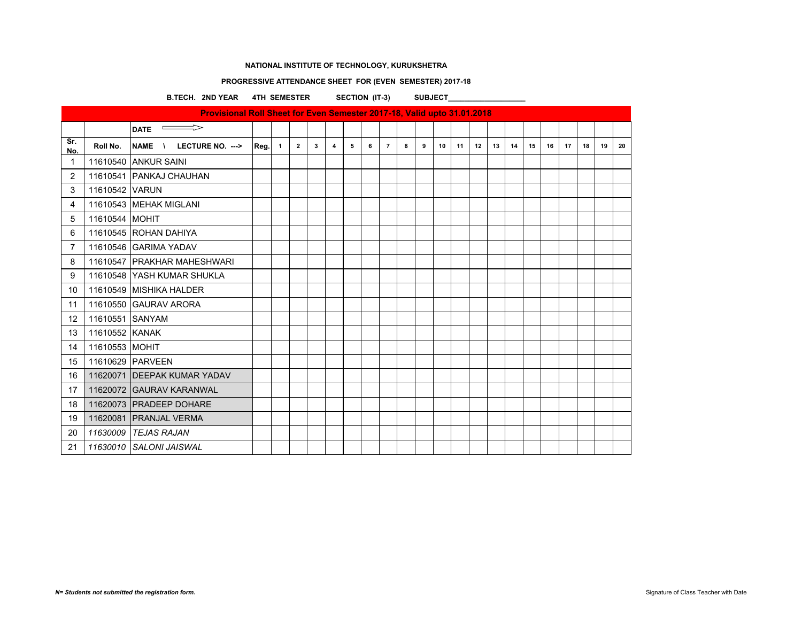### **PROGRESSIVE ATTENDANCE SHEET FOR (EVEN SEMESTER) 2017-18**

B.TECH. 2ND YEAR 4TH SEMESTER SECTION (IT-3) SUBJECT\_\_\_\_\_\_\_\_\_\_\_\_\_\_\_\_

|                | Provisional Roll Sheet for Even Semester 2017-18, Valid upto 31.01.2018 |                                                          |      |                |                |   |                |   |   |                |   |   |    |    |    |    |    |    |    |    |    |    |    |
|----------------|-------------------------------------------------------------------------|----------------------------------------------------------|------|----------------|----------------|---|----------------|---|---|----------------|---|---|----|----|----|----|----|----|----|----|----|----|----|
|                |                                                                         | $\Rightarrow$<br><b>Contract Contract</b><br><b>DATE</b> |      |                |                |   |                |   |   |                |   |   |    |    |    |    |    |    |    |    |    |    |    |
| Sr.<br>No.     | Roll No.                                                                | NAME \ LECTURE NO. --->                                  | Reg. | $\overline{1}$ | $\overline{2}$ | 3 | $\overline{4}$ | 5 | 6 | $\overline{7}$ | 8 | 9 | 10 | 11 | 12 | 13 | 14 | 15 | 16 | 17 | 18 | 19 | 20 |
| 1              |                                                                         | 11610540 ANKUR SAINI                                     |      |                |                |   |                |   |   |                |   |   |    |    |    |    |    |    |    |    |    |    |    |
| $\overline{2}$ |                                                                         | 11610541 PANKAJ CHAUHAN                                  |      |                |                |   |                |   |   |                |   |   |    |    |    |    |    |    |    |    |    |    |    |
| 3              | 11610542 VARUN                                                          |                                                          |      |                |                |   |                |   |   |                |   |   |    |    |    |    |    |    |    |    |    |    |    |
| 4              |                                                                         | 11610543 MEHAK MIGLANI                                   |      |                |                |   |                |   |   |                |   |   |    |    |    |    |    |    |    |    |    |    |    |
| 5              | 11610544 MOHIT                                                          |                                                          |      |                |                |   |                |   |   |                |   |   |    |    |    |    |    |    |    |    |    |    |    |
| 6              |                                                                         | 11610545 ROHAN DAHIYA                                    |      |                |                |   |                |   |   |                |   |   |    |    |    |    |    |    |    |    |    |    |    |
| $\overline{7}$ |                                                                         | 11610546 GARIMA YADAV                                    |      |                |                |   |                |   |   |                |   |   |    |    |    |    |    |    |    |    |    |    |    |
| 8              |                                                                         | 11610547 PRAKHAR MAHESHWARI                              |      |                |                |   |                |   |   |                |   |   |    |    |    |    |    |    |    |    |    |    |    |
| 9              |                                                                         | 11610548 YASH KUMAR SHUKLA                               |      |                |                |   |                |   |   |                |   |   |    |    |    |    |    |    |    |    |    |    |    |
| 10             |                                                                         | 11610549 MISHIKA HALDER                                  |      |                |                |   |                |   |   |                |   |   |    |    |    |    |    |    |    |    |    |    |    |
| 11             |                                                                         | 11610550 GAURAV ARORA                                    |      |                |                |   |                |   |   |                |   |   |    |    |    |    |    |    |    |    |    |    |    |
| 12             | 11610551 SANYAM                                                         |                                                          |      |                |                |   |                |   |   |                |   |   |    |    |    |    |    |    |    |    |    |    |    |
| 13             | 11610552 KANAK                                                          |                                                          |      |                |                |   |                |   |   |                |   |   |    |    |    |    |    |    |    |    |    |    |    |
| 14             | 11610553 MOHIT                                                          |                                                          |      |                |                |   |                |   |   |                |   |   |    |    |    |    |    |    |    |    |    |    |    |
| 15             |                                                                         | 11610629 PARVEEN                                         |      |                |                |   |                |   |   |                |   |   |    |    |    |    |    |    |    |    |    |    |    |
| 16             |                                                                         | 11620071 DEEPAK KUMAR YADAV                              |      |                |                |   |                |   |   |                |   |   |    |    |    |    |    |    |    |    |    |    |    |
| 17             |                                                                         | 11620072 GAURAV KARANWAL                                 |      |                |                |   |                |   |   |                |   |   |    |    |    |    |    |    |    |    |    |    |    |
| 18             |                                                                         | 11620073 PRADEEP DOHARE                                  |      |                |                |   |                |   |   |                |   |   |    |    |    |    |    |    |    |    |    |    |    |
| 19             |                                                                         | 11620081 PRANJAL VERMA                                   |      |                |                |   |                |   |   |                |   |   |    |    |    |    |    |    |    |    |    |    |    |
| 20             |                                                                         | 11630009 TEJAS RAJAN                                     |      |                |                |   |                |   |   |                |   |   |    |    |    |    |    |    |    |    |    |    |    |
| 21             |                                                                         | 11630010 SALONI JAISWAL                                  |      |                |                |   |                |   |   |                |   |   |    |    |    |    |    |    |    |    |    |    |    |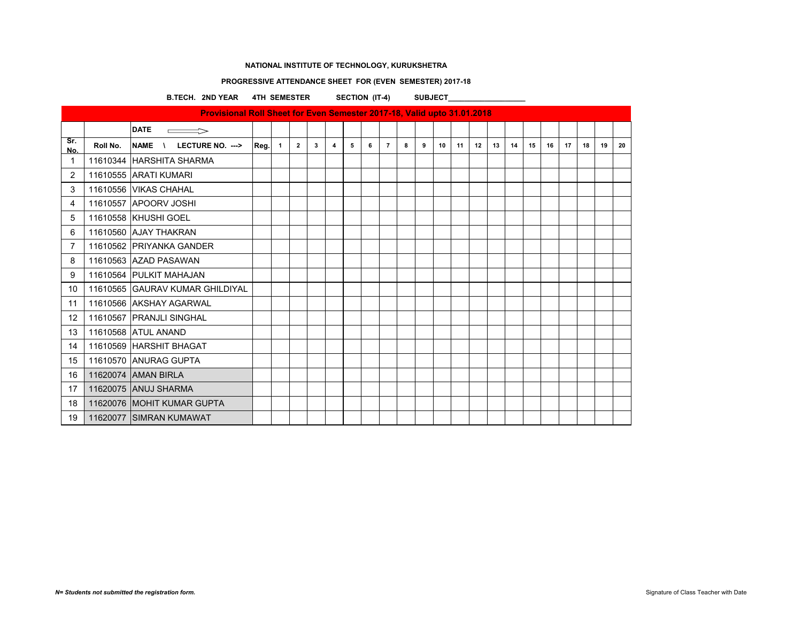### **PROGRESSIVE ATTENDANCE SHEET FOR (EVEN SEMESTER) 2017-18**

B.TECH. 2ND YEAR 4TH SEMESTER SECTION (IT-4) SUBJECT\_\_\_\_\_\_\_\_\_\_\_\_\_\_\_\_

|                   | Provisional Roll Sheet for Even Semester 2017-18, Valid upto 31.01.2018 |                                 |      |              |                |   |   |   |   |                |   |   |    |    |    |    |    |    |    |    |    |    |    |
|-------------------|-------------------------------------------------------------------------|---------------------------------|------|--------------|----------------|---|---|---|---|----------------|---|---|----|----|----|----|----|----|----|----|----|----|----|
|                   |                                                                         | <b>DATE</b>                     |      |              |                |   |   |   |   |                |   |   |    |    |    |    |    |    |    |    |    |    |    |
| Sr.<br>No.        | Roll No.                                                                | <b>NAME</b><br>LECTURE NO. ---> | Reg. | $\mathbf{1}$ | $\overline{2}$ | 3 | 4 | 5 | 6 | $\overline{7}$ | 8 | 9 | 10 | 11 | 12 | 13 | 14 | 15 | 16 | 17 | 18 | 19 | 20 |
| $\mathbf{1}$      |                                                                         | 11610344 HARSHITA SHARMA        |      |              |                |   |   |   |   |                |   |   |    |    |    |    |    |    |    |    |    |    |    |
| $\overline{2}$    |                                                                         | 11610555 ARATI KUMARI           |      |              |                |   |   |   |   |                |   |   |    |    |    |    |    |    |    |    |    |    |    |
| 3                 |                                                                         | 11610556 VIKAS CHAHAL           |      |              |                |   |   |   |   |                |   |   |    |    |    |    |    |    |    |    |    |    |    |
| 4                 |                                                                         | 11610557 APOORV JOSHI           |      |              |                |   |   |   |   |                |   |   |    |    |    |    |    |    |    |    |    |    |    |
| 5                 |                                                                         | 11610558 KHUSHI GOEL            |      |              |                |   |   |   |   |                |   |   |    |    |    |    |    |    |    |    |    |    |    |
| 6                 |                                                                         | 11610560 AJAY THAKRAN           |      |              |                |   |   |   |   |                |   |   |    |    |    |    |    |    |    |    |    |    |    |
| $\overline{7}$    |                                                                         | 11610562 PRIYANKA GANDER        |      |              |                |   |   |   |   |                |   |   |    |    |    |    |    |    |    |    |    |    |    |
| 8                 |                                                                         | 11610563 AZAD PASAWAN           |      |              |                |   |   |   |   |                |   |   |    |    |    |    |    |    |    |    |    |    |    |
| 9                 |                                                                         | 11610564 PULKIT MAHAJAN         |      |              |                |   |   |   |   |                |   |   |    |    |    |    |    |    |    |    |    |    |    |
| 10                |                                                                         | 11610565 GAURAV KUMAR GHILDIYAL |      |              |                |   |   |   |   |                |   |   |    |    |    |    |    |    |    |    |    |    |    |
| 11                |                                                                         | 11610566 AKSHAY AGARWAL         |      |              |                |   |   |   |   |                |   |   |    |    |    |    |    |    |    |    |    |    |    |
| $12 \overline{ }$ |                                                                         | 11610567 PRANJLI SINGHAL        |      |              |                |   |   |   |   |                |   |   |    |    |    |    |    |    |    |    |    |    |    |
| 13                |                                                                         | 11610568 ATUL ANAND             |      |              |                |   |   |   |   |                |   |   |    |    |    |    |    |    |    |    |    |    |    |
| 14                |                                                                         | 11610569 HARSHIT BHAGAT         |      |              |                |   |   |   |   |                |   |   |    |    |    |    |    |    |    |    |    |    |    |
| 15                |                                                                         | 11610570 ANURAG GUPTA           |      |              |                |   |   |   |   |                |   |   |    |    |    |    |    |    |    |    |    |    |    |
| 16                |                                                                         | 11620074 AMAN BIRLA             |      |              |                |   |   |   |   |                |   |   |    |    |    |    |    |    |    |    |    |    |    |
| 17                |                                                                         | 11620075 ANUJ SHARMA            |      |              |                |   |   |   |   |                |   |   |    |    |    |    |    |    |    |    |    |    |    |
| 18                |                                                                         | 11620076 MOHIT KUMAR GUPTA      |      |              |                |   |   |   |   |                |   |   |    |    |    |    |    |    |    |    |    |    |    |
| 19                |                                                                         | 11620077 SIMRAN KUMAWAT         |      |              |                |   |   |   |   |                |   |   |    |    |    |    |    |    |    |    |    |    |    |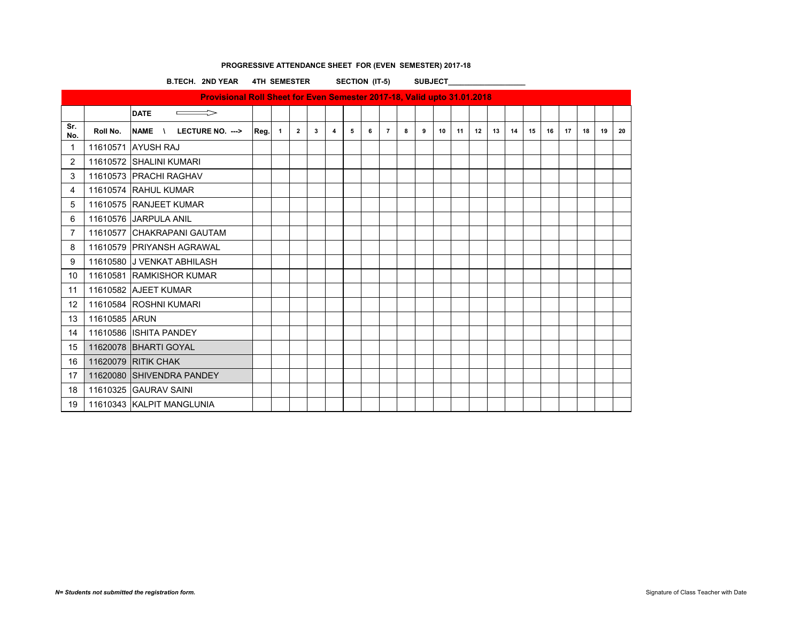|                |               | B.TECH. 2ND YEAR 4TH SEMESTER                                           |               |                |              |                |   | SECTION (IT-5) |                |   | <b>SUBJECT</b> |    |    |    |    |    |    |    |    |    |    |    |
|----------------|---------------|-------------------------------------------------------------------------|---------------|----------------|--------------|----------------|---|----------------|----------------|---|----------------|----|----|----|----|----|----|----|----|----|----|----|
|                |               | Provisional Roll Sheet for Even Semester 2017-18, Valid upto 31.01.2018 |               |                |              |                |   |                |                |   |                |    |    |    |    |    |    |    |    |    |    |    |
|                |               | <b>DATE</b><br>$\Rightarrow$                                            |               |                |              |                |   |                |                |   |                |    |    |    |    |    |    |    |    |    |    |    |
| Sr.<br>No.     | Roll No.      | LECTURE NO. ---><br>NAME \                                              | <b>Reg.</b> 1 | $\overline{2}$ | $\mathbf{3}$ | $\overline{4}$ | 5 | 6              | $\overline{7}$ | 8 | 9              | 10 | 11 | 12 | 13 | 14 | 15 | 16 | 17 | 18 | 19 | 20 |
| $\mathbf 1$    |               | 11610571 AYUSH RAJ                                                      |               |                |              |                |   |                |                |   |                |    |    |    |    |    |    |    |    |    |    |    |
| $\overline{2}$ |               | 11610572 SHALINI KUMARI                                                 |               |                |              |                |   |                |                |   |                |    |    |    |    |    |    |    |    |    |    |    |
| 3              |               | 11610573 PRACHI RAGHAV                                                  |               |                |              |                |   |                |                |   |                |    |    |    |    |    |    |    |    |    |    |    |
| 4              |               | 11610574 RAHUL KUMAR                                                    |               |                |              |                |   |                |                |   |                |    |    |    |    |    |    |    |    |    |    |    |
| 5              |               | 11610575 RANJEET KUMAR                                                  |               |                |              |                |   |                |                |   |                |    |    |    |    |    |    |    |    |    |    |    |
| 6              |               | 11610576 JARPULA ANIL                                                   |               |                |              |                |   |                |                |   |                |    |    |    |    |    |    |    |    |    |    |    |
| 7              |               | 11610577 CHAKRAPANI GAUTAM                                              |               |                |              |                |   |                |                |   |                |    |    |    |    |    |    |    |    |    |    |    |
| 8              |               | 11610579 PRIYANSH AGRAWAL                                               |               |                |              |                |   |                |                |   |                |    |    |    |    |    |    |    |    |    |    |    |
| 9              |               | 11610580 J VENKAT ABHILASH                                              |               |                |              |                |   |                |                |   |                |    |    |    |    |    |    |    |    |    |    |    |
| 10             |               | 11610581 RAMKISHOR KUMAR                                                |               |                |              |                |   |                |                |   |                |    |    |    |    |    |    |    |    |    |    |    |
| 11             |               | 11610582 AJEET KUMAR                                                    |               |                |              |                |   |                |                |   |                |    |    |    |    |    |    |    |    |    |    |    |
| 12             |               | 11610584 ROSHNI KUMARI                                                  |               |                |              |                |   |                |                |   |                |    |    |    |    |    |    |    |    |    |    |    |
| 13             | 11610585 ARUN |                                                                         |               |                |              |                |   |                |                |   |                |    |    |    |    |    |    |    |    |    |    |    |
| 14             |               | 11610586 ISHITA PANDEY                                                  |               |                |              |                |   |                |                |   |                |    |    |    |    |    |    |    |    |    |    |    |
| 15             |               | 11620078 BHARTI GOYAL                                                   |               |                |              |                |   |                |                |   |                |    |    |    |    |    |    |    |    |    |    |    |
| 16             |               | <b>11620079 RITIK CHAK</b>                                              |               |                |              |                |   |                |                |   |                |    |    |    |    |    |    |    |    |    |    |    |
| 17             |               | 11620080 SHIVENDRA PANDEY                                               |               |                |              |                |   |                |                |   |                |    |    |    |    |    |    |    |    |    |    |    |
| 18             |               | 11610325 GAURAV SAINI                                                   |               |                |              |                |   |                |                |   |                |    |    |    |    |    |    |    |    |    |    |    |
| 19             |               | 11610343 KALPIT MANGLUNIA                                               |               |                |              |                |   |                |                |   |                |    |    |    |    |    |    |    |    |    |    |    |

# **PROGRESSIVE ATTENDANCE SHEET FOR (EVEN SEMESTER) 2017-18**